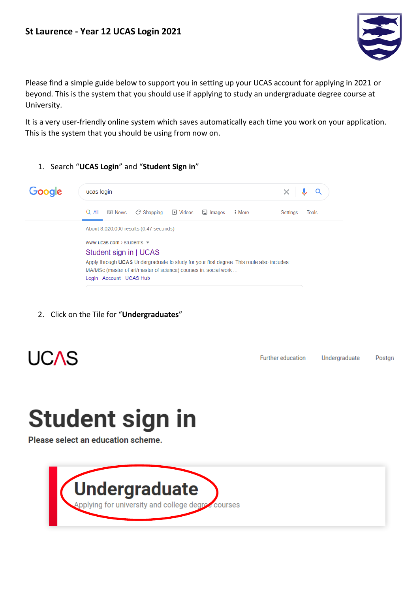

Please find a simple guide below to support you in setting up your UCAS account for applying in 2021 or beyond. This is the system that you should use if applying to study an undergraduate degree course at University.

It is a very user-friendly online system which saves automatically each time you work on your application. This is the system that you should be using from now on.

1. Search "**UCAS Login**" and "**Student Sign in**"



2. Click on the Tile for "**Undergraduates**"



Further education Undergraduate Postgra

## **Student sign in**

Please select an education scheme.